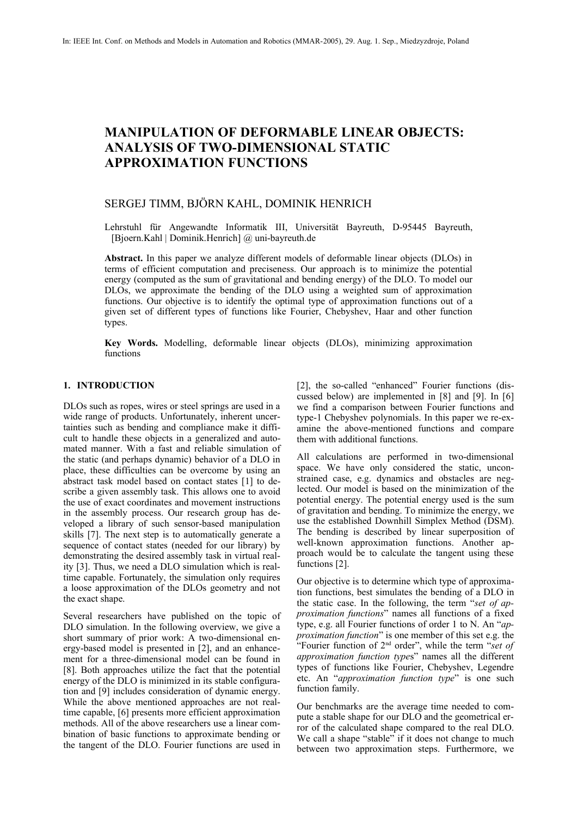# **MANIPULATION OF DEFORMABLE LINEAR OBJECTS: ANALYSIS OF TWO-DIMENSIONAL STATIC APPROXIMATION FUNCTIONS**

## SERGEJ TIMM, BJÖRN KAHL, DOMINIK HENRICH

Lehrstuhl für Angewandte Informatik III, Universität Bayreuth, D-95445 Bayreuth, [Bjoern.Kahl | Dominik.Henrich] @ uni-bayreuth.de

**Abstract.** In this paper we analyze different models of deformable linear objects (DLOs) in terms of efficient computation and preciseness. Our approach is to minimize the potential energy (computed as the sum of gravitational and bending energy) of the DLO. To model our DLOs, we approximate the bending of the DLO using a weighted sum of approximation functions. Our objective is to identify the optimal type of approximation functions out of a given set of different types of functions like Fourier, Chebyshev, Haar and other function types.

**Key Words.** Modelling, deformable linear objects (DLOs), minimizing approximation functions

#### **1. INTRODUCTION**

DLOs such as ropes, wires or steel springs are used in a wide range of products. Unfortunately, inherent uncertainties such as bending and compliance make it difficult to handle these objects in a generalized and automated manner. With a fast and reliable simulation of the static (and perhaps dynamic) behavior of a DLO in place, these difficulties can be overcome by using an abstract task model based on contact states [1] to describe a given assembly task. This allows one to avoid the use of exact coordinates and movement instructions in the assembly process. Our research group has developed a library of such sensor-based manipulation skills [7]. The next step is to automatically generate a sequence of contact states (needed for our library) by demonstrating the desired assembly task in virtual reality [3]. Thus, we need a DLO simulation which is realtime capable. Fortunately, the simulation only requires a loose approximation of the DLOs geometry and not the exact shape.

Several researchers have published on the topic of DLO simulation. In the following overview, we give a short summary of prior work: A two-dimensional energy-based model is presented in [2], and an enhancement for a three-dimensional model can be found in [8]. Both approaches utilize the fact that the potential energy of the DLO is minimized in its stable configuration and [9] includes consideration of dynamic energy. While the above mentioned approaches are not realtime capable, [6] presents more efficient approximation methods. All of the above researchers use a linear combination of basic functions to approximate bending or the tangent of the DLO. Fourier functions are used in

[2], the so-called "enhanced" Fourier functions (discussed below) are implemented in [8] and [9]. In [6] we find a comparison between Fourier functions and type-1 Chebyshev polynomials. In this paper we re-examine the above-mentioned functions and compare them with additional functions.

All calculations are performed in two-dimensional space. We have only considered the static, unconstrained case, e.g. dynamics and obstacles are neglected. Our model is based on the minimization of the potential energy. The potential energy used is the sum of gravitation and bending. To minimize the energy, we use the established Downhill Simplex Method (DSM). The bending is described by linear superposition of well-known approximation functions. Another approach would be to calculate the tangent using these functions [2].

Our objective is to determine which type of approximation functions, best simulates the bending of a DLO in the static case. In the following, the term "*set of approximation functions*" names all functions of a fixed type, e.g. all Fourier functions of order 1 to N. An "*approximation function*" is one member of this set e.g. the "Fourier function of 2 nd order", while the term "*set of approximation function type*s" names all the different types of functions like Fourier, Chebyshev, Legendre etc. An "*approximation function type*" is one such function family.

Our benchmarks are the average time needed to compute a stable shape for our DLO and the geometrical error of the calculated shape compared to the real DLO. We call a shape "stable" if it does not change to much between two approximation steps. Furthermore, we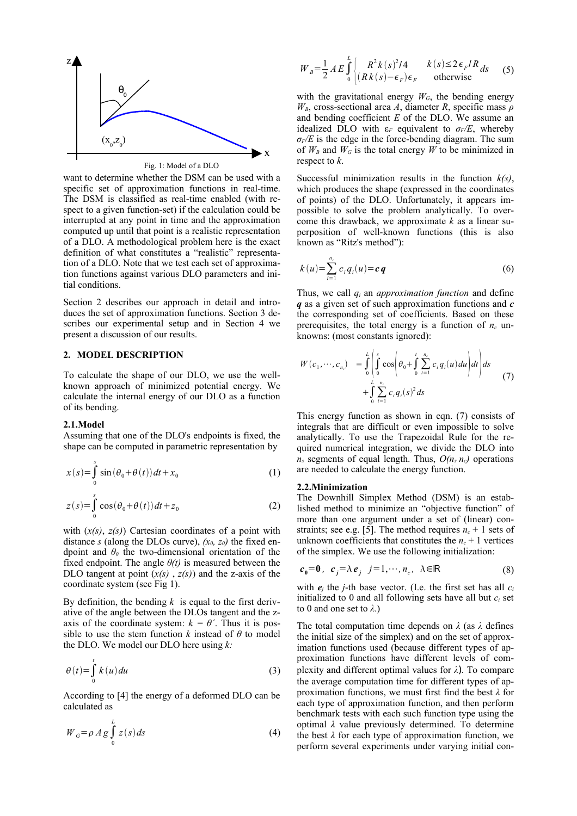

want to determine whether the DSM can be used with a specific set of approximation functions in real-time. The DSM is classified as real-time enabled (with respect to a given function-set) if the calculation could be interrupted at any point in time and the approximation computed up until that point is a realistic representation of a DLO. A methodological problem here is the exact definition of what constitutes a "realistic" representation of a DLO. Note that we test each set of approximation functions against various DLO parameters and initial conditions.

Section 2 describes our approach in detail and introduces the set of approximation functions. Section 3 describes our experimental setup and in Section 4 we present a discussion of our results.

#### **2. MODEL DESCRIPTION**

To calculate the shape of our DLO, we use the wellknown approach of minimized potential energy. We calculate the internal energy of our DLO as a function of its bending.

#### **2.1.Model**

Assuming that one of the DLO's endpoints is fixed, the shape can be computed in parametric representation by

$$
x(s) = \int_{0}^{s} \sin(\theta_0 + \theta(t))dt + x_0
$$
 (1)

$$
z(s) = \int_{0}^{s} \cos(\theta_0 + \theta(t)) dt + z_0
$$
 (2)

with (*x(s)*, *z(s)*) Cartesian coordinates of a point with distance *s* (along the DLOs curve),  $(x_0, z_0)$  the fixed endpoint and *θ<sup>0</sup>* the two-dimensional orientation of the fixed endpoint. The angle  $\theta(t)$  is measured between the DLO tangent at point  $(x(s), z(s))$  and the z-axis of the coordinate system (see Fig 1).

By definition, the bending  $k$  is equal to the first derivative of the angle between the DLOs tangent and the zaxis of the coordinate system:  $k = \theta'$ . Thus it is possible to use the stem function  $k$  instead of  $\theta$  to model the DLO. We model our DLO here using *k:*

$$
\theta(t) = \int_{0}^{t} k(u) du
$$
 (3)

According to [4] the energy of a deformed DLO can be calculated as

$$
W_G = \rho A g \int_0^L z(s) ds \tag{4}
$$

$$
W_{B} = \frac{1}{2} A E \int_{0}^{L} \begin{cases} R^{2} k(s)^{2} / 4 & k(s) \le 2 \epsilon_{F} / R ds \\ (R k(s) - \epsilon_{F}) \epsilon_{F} & \text{otherwise} \end{cases}
$$
 (5)

with the gravitational energy  $W_G$ , the bending energy *WB*, cross-sectional area *A*, diameter *R*, specific mass *ρ* and bending coefficient *E* of the DLO. We assume an idealized DLO with  $\varepsilon_F$  equivalent to  $\sigma_F/E$ , whereby  $\sigma$ <sup>*F*</sup>/*E* is the edge in the force-bending diagram. The sum of  $W_B$  and  $W_G$  is the total energy  $W$  to be minimized in respect to *k*.

Successful minimization results in the function *k(s)*, which produces the shape (expressed in the coordinates of points) of the DLO. Unfortunately, it appears impossible to solve the problem analytically. To overcome this drawback, we approximate *k* as a linear superposition of well-known functions (this is also known as "Ritz's method"):

$$
k(u) = \sum_{i=1}^{n_c} c_i q_i(u) = c \, q \tag{6}
$$

Thus, we call *q<sup>i</sup>* an *approximation function* and define *q* as a given set of such approximation functions and *c* the corresponding set of coefficients. Based on these prerequisites, the total energy is a function of  $n_c$  unknowns: (most constants ignored):

$$
W(c_1, \dots, c_{n_c}) = \int_0^L \left( \int_0^s \cos \left( \theta_0 + \int_0^t \sum_{i=1}^{n_c} c_i q_i(u) du \right) dt \right) ds + \int_0^L \sum_{i=1}^{n_c} c_i q_i(s)^2 ds \tag{7}
$$

This energy function as shown in eqn. (7) consists of integrals that are difficult or even impossible to solve analytically. To use the Trapezoidal Rule for the required numerical integration, we divide the DLO into  $n_s$  segments of equal length. Thus,  $O(n_s n_c)$  operations are needed to calculate the energy function.

#### **2.2.Minimization**

The Downhill Simplex Method (DSM) is an established method to minimize an "objective function" of more than one argument under a set of (linear) constraints; see e.g. [5]. The method requires  $n_c + 1$  sets of unknown coefficients that constitutes the  $n_c + 1$  vertices of the simplex. We use the following initialization:

$$
c_0 = 0, \quad c_j = \lambda e_j \quad j = 1, \cdots, n_c, \quad \lambda \in \mathbb{R}
$$
 (8)

with  $e_i$  the *j*-th base vector. (I.e. the first set has all  $c_i$ initialized to 0 and all following sets have all but  $c_i$  set to 0 and one set to *λ*.)

The total computation time depends on *λ* (as *λ* defines the initial size of the simplex) and on the set of approximation functions used (because different types of approximation functions have different levels of complexity and different optimal values for *λ*). To compare the average computation time for different types of approximation functions, we must first find the best *λ* for each type of approximation function, and then perform benchmark tests with each such function type using the optimal *λ* value previously determined. To determine the best *λ* for each type of approximation function, we perform several experiments under varying initial con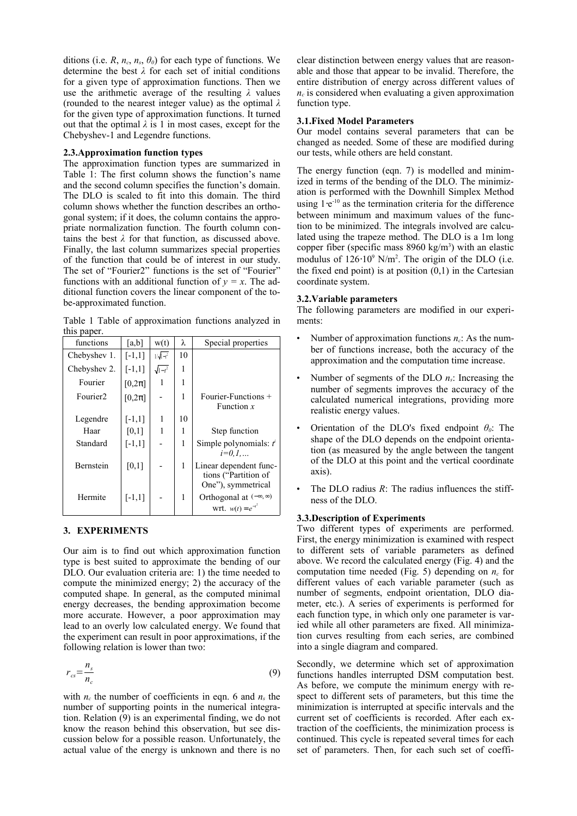ditions (i.e. *R*,  $n_c$ ,  $n_s$ ,  $\theta_0$ ) for each type of functions. We determine the best *λ* for each set of initial conditions for a given type of approximation functions. Then we use the arithmetic average of the resulting *λ* values (rounded to the nearest integer value) as the optimal *λ* for the given type of approximation functions. It turned out that the optimal  $\lambda$  is 1 in most cases, except for the Chebyshev-1 and Legendre functions.

#### **2.3.Approximation function types**

The approximation function types are summarized in Table 1: The first column shows the function's name and the second column specifies the function's domain. The DLO is scaled to fit into this domain. The third column shows whether the function describes an orthogonal system; if it does, the column contains the appropriate normalization function. The fourth column contains the best  $\lambda$  for that function, as discussed above. Finally, the last column summarizes special properties of the function that could be of interest in our study. The set of "Fourier2" functions is the set of "Fourier" functions with an additional function of  $y = x$ . The additional function covers the linear component of the tobe-approximated function.

Table 1 Table of approximation functions analyzed in this paper.

| functions            | [a,b]      | w(t)             | λ  | Special properties                                                   |
|----------------------|------------|------------------|----|----------------------------------------------------------------------|
| Chebyshev 1.         | $[-1,1]$   | $1/\sqrt{1-t^2}$ | 10 |                                                                      |
| Chebyshev 2.         | $[-1,1]$   | $\sqrt{1-t^2}$   | 1  |                                                                      |
| Fourier              | $[0,2\pi]$ | 1                | 1  |                                                                      |
| Fourier <sub>2</sub> | $[0,2\pi]$ |                  | 1  | Fourier-Functions +<br>Function $x$                                  |
| Legendre             | $[-1,1]$   | 1                | 10 |                                                                      |
| Haar                 | [0,1]      | 1                | 1  | Step function                                                        |
| Standard             | $[-1,1]$   |                  | 1  | Simple polynomials: $t^i$<br>$i=0.1$                                 |
| Bernstein            | [0,1]      |                  | 1  | Linear dependent func-<br>tions ("Partition of<br>One"), symmetrical |
| Hermite              | $[-1,1]$   |                  | 1  | Orthogonal at $(-\infty, \infty)$<br>wrt. $w(t) = e^{-t^2}$          |

#### **3. EXPERIMENTS**

Our aim is to find out which approximation function type is best suited to approximate the bending of our DLO. Our evaluation criteria are: 1) the time needed to compute the minimized energy; 2) the accuracy of the computed shape. In general, as the computed minimal energy decreases, the bending approximation become more accurate. However, a poor approximation may lead to an overly low calculated energy. We found that the experiment can result in poor approximations, if the following relation is lower than two:

$$
r_{cs} = \frac{n_s}{n_c} \tag{9}
$$

with  $n_c$  the number of coefficients in eqn. 6 and  $n_s$  the number of supporting points in the numerical integration. Relation (9) is an experimental finding, we do not know the reason behind this observation, but see discussion below for a possible reason. Unfortunately, the actual value of the energy is unknown and there is no clear distinction between energy values that are reasonable and those that appear to be invalid. Therefore, the entire distribution of energy across different values of  $n_c$  is considered when evaluating a given approximation function type.

#### **3.1.Fixed Model Parameters**

Our model contains several parameters that can be changed as needed. Some of these are modified during our tests, while others are held constant.

The energy function (eqn. 7) is modelled and minimized in terms of the bending of the DLO. The minimization is performed with the Downhill Simplex Method using 1⋅e<sup>-10</sup> as the termination criteria for the difference between minimum and maximum values of the function to be minimized. The integrals involved are calculated using the trapeze method. The DLO is a 1m long copper fiber (specific mass  $8960 \text{ kg/m}^3$ ) with an elastic modulus of  $126·10<sup>9</sup>$  N/m<sup>2</sup>. The origin of the DLO (i.e. the fixed end point) is at position  $(0,1)$  in the Cartesian coordinate system.

#### **3.2.Variable parameters**

The following parameters are modified in our experiments:

- Number of approximation functions *nc*: As the number of functions increase, both the accuracy of the approximation and the computation time increase.
- Number of segments of the DLO *ns*: Increasing the number of segments improves the accuracy of the calculated numerical integrations, providing more realistic energy values.
- Orientation of the DLO's fixed endpoint *θ0*: The shape of the DLO depends on the endpoint orientation (as measured by the angle between the tangent of the DLO at this point and the vertical coordinate axis).
- The DLO radius *R*: The radius influences the stiffness of the DLO.

## **3.3.Description of Experiments**

Two different types of experiments are performed. First, the energy minimization is examined with respect to different sets of variable parameters as defined above. We record the calculated energy (Fig. 4) and the computation time needed (Fig. 5) depending on  $n_c$  for different values of each variable parameter (such as number of segments, endpoint orientation, DLO diameter, etc.). A series of experiments is performed for each function type, in which only one parameter is varied while all other parameters are fixed. All minimization curves resulting from each series, are combined into a single diagram and compared.

Secondly, we determine which set of approximation functions handles interrupted DSM computation best. As before, we compute the minimum energy with respect to different sets of parameters, but this time the minimization is interrupted at specific intervals and the current set of coefficients is recorded. After each extraction of the coefficients, the minimization process is continued. This cycle is repeated several times for each set of parameters. Then, for each such set of coeffi-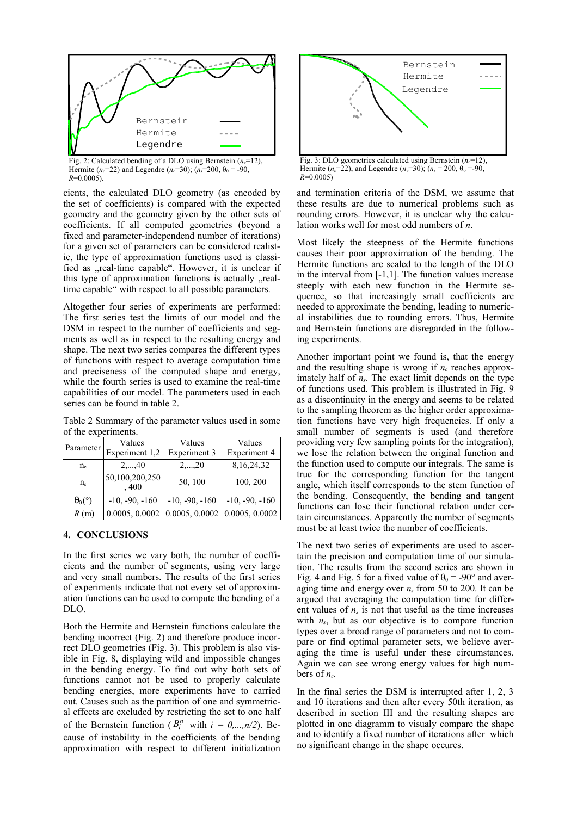

Fig. 2: Calculated bending of a DLO using Bernstein  $(n_c=12)$ , Hermite ( $n_c$ =22) and Legendre ( $n_c$ =30); ( $n_s$ =200,  $\theta_0$  = -90, *R*=0.0005).

cients, the calculated DLO geometry (as encoded by the set of coefficients) is compared with the expected geometry and the geometry given by the other sets of coefficients. If all computed geometries (beyond a fixed and parameter-independend number of iterations) for a given set of parameters can be considered realistic, the type of approximation functions used is classified as "real-time capable". However, it is unclear if this type of approximation functions is actually "realtime capable" with respect to all possible parameters.

Altogether four series of experiments are performed: The first series test the limits of our model and the DSM in respect to the number of coefficients and segments as well as in respect to the resulting energy and shape. The next two series compares the different types of functions with respect to average computation time and preciseness of the computed shape and energy, while the fourth series is used to examine the real-time capabilities of our model. The parameters used in each series can be found in table 2.

Table 2 Summary of the parameter values used in some of the experiments.

| Parameter      | Values<br>Experiment 1,2 | Values<br>Experiment 3 | Values<br>Experiment 4 |
|----------------|--------------------------|------------------------|------------------------|
| $n_{\rm c}$    | $2, \ldots, 40$          | $2, \ldots, 20$        | 8, 16, 24, 32          |
| $n_{\rm s}$    | 50,100,200,250<br>.400   | 50, 100                | 100, 200               |
| $\theta_0$ (°) | $-10, -90, -160$         | $-10, -90, -160$       | $-10, -90, -160$       |
| R(m)           | 0.0005, 0.0002           | 0.0005, 0.0002         | 0.0005, 0.0002         |

## **4. CONCLUSIONS**

In the first series we vary both, the number of coefficients and the number of segments, using very large and very small numbers. The results of the first series of experiments indicate that not every set of approximation functions can be used to compute the bending of a DLO.

Both the Hermite and Bernstein functions calculate the bending incorrect (Fig. 2) and therefore produce incorrect DLO geometries (Fig. 3). This problem is also visible in Fig. 8, displaying wild and impossible changes in the bending energy. To find out why both sets of functions cannot not be used to properly calculate bending energies, more experiments have to carried out. Causes such as the partition of one and symmetrical effects are excluded by restricting the set to one half of the Bernstein function ( $B_i^n$  with  $i = 0,...,n/2$ ). Because of instability in the coefficients of the bending approximation with respect to different initialization



Fig. 3: DLO geometries calculated using Bernstein  $(n_c=12)$ , Hermite ( $n_c$ =22), and Legendre ( $n_c$ =30); ( $n_s$  = 200,  $\theta_0$  = -90, *R*=0.0005)

and termination criteria of the DSM, we assume that these results are due to numerical problems such as rounding errors. However, it is unclear why the calculation works well for most odd numbers of *n*.

Most likely the steepness of the Hermite functions causes their poor approximation of the bending. The Hermite functions are scaled to the length of the DLO in the interval from [-1,1]. The function values increase steeply with each new function in the Hermite sequence, so that increasingly small coefficients are needed to approximate the bending, leading to numerical instabilities due to rounding errors. Thus, Hermite and Bernstein functions are disregarded in the following experiments.

Another important point we found is, that the energy and the resulting shape is wrong if  $n_c$  reaches approximately half of  $n<sub>s</sub>$ . The exact limit depends on the type of functions used. This problem is illustrated in Fig. 9 as a discontinuity in the energy and seems to be related to the sampling theorem as the higher order approximation functions have very high frequencies. If only a small number of segments is used (and therefore providing very few sampling points for the integration), we lose the relation between the original function and the function used to compute our integrals. The same is true for the corresponding function for the tangent angle, which itself corresponds to the stem function of the bending. Consequently, the bending and tangent functions can lose their functional relation under certain circumstances. Apparently the number of segments must be at least twice the number of coefficients.

The next two series of experiments are used to ascertain the precision and computation time of our simulation. The results from the second series are shown in Fig. 4 and Fig. 5 for a fixed value of  $\theta_0 = -90^\circ$  and averaging time and energy over *n<sup>s</sup>* from 50 to 200. It can be argued that averaging the computation time for different values of  $n<sub>s</sub>$  is not that useful as the time increases with *ns*, but as our objective is to compare function types over a broad range of parameters and not to compare or find optimal parameter sets, we believe averaging the time is useful under these circumstances. Again we can see wrong energy values for high numbers of  $n_c$ .

In the final series the DSM is interrupted after 1, 2, 3 and 10 iterations and then after every 50th iteration, as described in section III and the resulting shapes are plotted in one diagramm to visualy compare the shape and to identify a fixed number of iterations after which no significant change in the shape occures.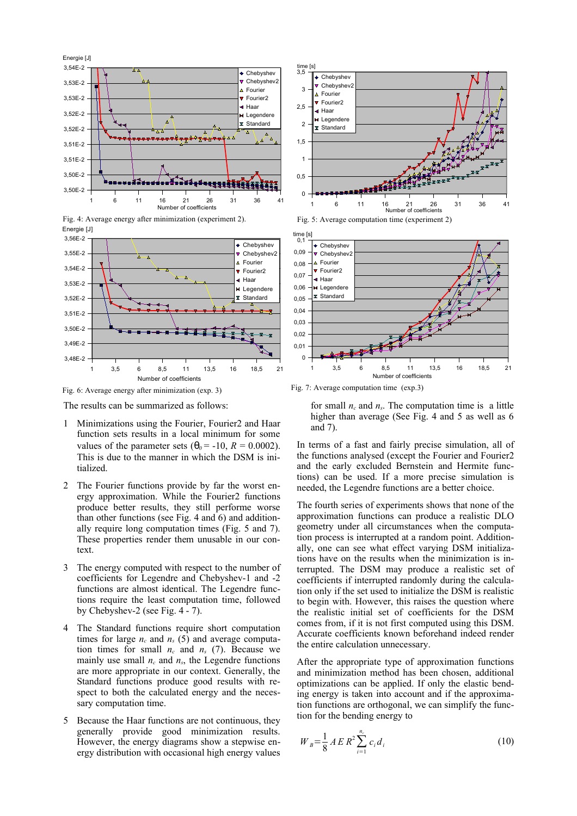

Fig. 4: Average energy after minimization (experiment 2). Energie [J]



Fig. 6: Average energy after minimization (exp. 3)

The results can be summarized as follows:

- 1 Minimizations using the Fourier, Fourier2 and Haar function sets results in a local minimum for some values of the parameter sets  $(\theta_0 = -10, R = 0.0002)$ . This is due to the manner in which the DSM is initialized.
- 2 The Fourier functions provide by far the worst energy approximation. While the Fourier2 functions produce better results, they still performe worse than other functions (see Fig. 4 and 6) and additionally require long computation times (Fig. 5 and 7). These properties render them unusable in our context.
- 3 The energy computed with respect to the number of coefficients for Legendre and Chebyshev-1 and -2 functions are almost identical. The Legendre functions require the least computation time, followed by Chebyshev-2 (see Fig. 4 - 7).
- The Standard functions require short computation times for large  $n_c$  and  $n_s$  (5) and average computation times for small  $n_c$  and  $n_s$  (7). Because we mainly use small  $n_c$  and  $n_s$ , the Legendre functions are more appropriate in our context. Generally, the Standard functions produce good results with respect to both the calculated energy and the necessary computation time.
- 5 Because the Haar functions are not continuous, they generally provide good minimization results. However, the energy diagrams show a stepwise energy distribution with occasional high energy values



Fig. 5: Average computation time (experiment 2)



Fig. 7: Average computation time (exp.3)

for small  $n_c$  and  $n_s$ . The computation time is a little higher than average (See Fig. 4 and 5 as well as 6 and 7).

In terms of a fast and fairly precise simulation, all of the functions analysed (except the Fourier and Fourier2 and the early excluded Bernstein and Hermite functions) can be used. If a more precise simulation is needed, the Legendre functions are a better choice.

The fourth series of experiments shows that none of the approximation functions can produce a realistic DLO geometry under all circumstances when the computation process is interrupted at a random point. Additionally, one can see what effect varying DSM initializations have on the results when the minimization is interrupted. The DSM may produce a realistic set of coefficients if interrupted randomly during the calculation only if the set used to initialize the DSM is realistic to begin with. However, this raises the question where the realistic initial set of coefficients for the DSM comes from, if it is not first computed using this DSM. Accurate coefficients known beforehand indeed render the entire calculation unnecessary.

After the appropriate type of approximation functions and minimization method has been chosen, additional optimizations can be applied. If only the elastic bending energy is taken into account and if the approximation functions are orthogonal, we can simplify the function for the bending energy to

$$
W_{B} = \frac{1}{8} A E R^{2} \sum_{i=1}^{n_{c}} c_{i} d_{i}
$$
 (10)